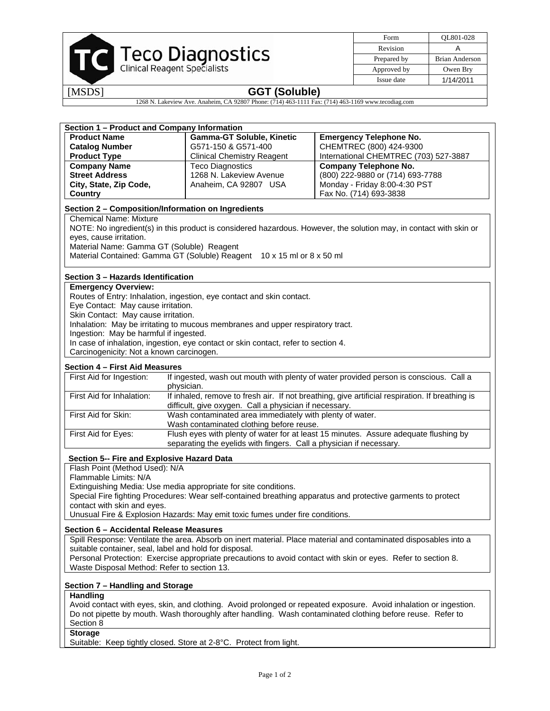

| Form        | OL801-028      |
|-------------|----------------|
| Revision    |                |
| Prepared by | Brian Anderson |
| Approved by | Owen Bry       |
| Issue date  | 1/14/2011      |

# [MSDS] **GGT (Soluble)**

1268 N. Lakeview Ave. Anaheim, CA 92807 Phone: (714) 463-1111 Fax: (714) 463-1169 www.tecodiag.com

| Section 1 - Product and Company Information                                                                                               |                                                                                                                                 |                                                                                                 |  |
|-------------------------------------------------------------------------------------------------------------------------------------------|---------------------------------------------------------------------------------------------------------------------------------|-------------------------------------------------------------------------------------------------|--|
| <b>Product Name</b>                                                                                                                       | <b>Gamma-GT Soluble, Kinetic</b>                                                                                                | <b>Emergency Telephone No.</b>                                                                  |  |
| <b>Catalog Number</b>                                                                                                                     | G571-150 & G571-400                                                                                                             | CHEMTREC (800) 424-9300                                                                         |  |
| <b>Product Type</b>                                                                                                                       | <b>Clinical Chemistry Reagent</b>                                                                                               | International CHEMTREC (703) 527-3887                                                           |  |
| <b>Company Name</b>                                                                                                                       | <b>Teco Diagnostics</b>                                                                                                         | <b>Company Telephone No.</b>                                                                    |  |
| <b>Street Address</b>                                                                                                                     | 1268 N. Lakeview Avenue                                                                                                         | (800) 222-9880 or (714) 693-7788                                                                |  |
| City, State, Zip Code,                                                                                                                    |                                                                                                                                 |                                                                                                 |  |
|                                                                                                                                           | Anaheim, CA 92807 USA                                                                                                           | Monday - Friday 8:00-4:30 PST                                                                   |  |
| Country                                                                                                                                   |                                                                                                                                 | Fax No. (714) 693-3838                                                                          |  |
| Section 2 - Composition/Information on Ingredients                                                                                        |                                                                                                                                 |                                                                                                 |  |
| <b>Chemical Name: Mixture</b>                                                                                                             |                                                                                                                                 |                                                                                                 |  |
| NOTE: No ingredient(s) in this product is considered hazardous. However, the solution may, in contact with skin or                        |                                                                                                                                 |                                                                                                 |  |
| eyes, cause irritation.                                                                                                                   |                                                                                                                                 |                                                                                                 |  |
| Material Name: Gamma GT (Soluble) Reagent                                                                                                 |                                                                                                                                 |                                                                                                 |  |
|                                                                                                                                           | Material Contained: Gamma GT (Soluble) Reagent 10 x 15 ml or 8 x 50 ml                                                          |                                                                                                 |  |
|                                                                                                                                           |                                                                                                                                 |                                                                                                 |  |
| Section 3 - Hazards Identification                                                                                                        |                                                                                                                                 |                                                                                                 |  |
| <b>Emergency Overview:</b>                                                                                                                |                                                                                                                                 |                                                                                                 |  |
| Routes of Entry: Inhalation, ingestion, eye contact and skin contact.                                                                     |                                                                                                                                 |                                                                                                 |  |
| Eye Contact: May cause irritation.                                                                                                        |                                                                                                                                 |                                                                                                 |  |
| Skin Contact: May cause irritation.                                                                                                       |                                                                                                                                 |                                                                                                 |  |
| Inhalation: May be irritating to mucous membranes and upper respiratory tract.                                                            |                                                                                                                                 |                                                                                                 |  |
| Ingestion: May be harmful if ingested.                                                                                                    |                                                                                                                                 |                                                                                                 |  |
|                                                                                                                                           | In case of inhalation, ingestion, eye contact or skin contact, refer to section 4.                                              |                                                                                                 |  |
| Carcinogenicity: Not a known carcinogen.                                                                                                  |                                                                                                                                 |                                                                                                 |  |
| Section 4 - First Aid Measures                                                                                                            |                                                                                                                                 |                                                                                                 |  |
|                                                                                                                                           |                                                                                                                                 |                                                                                                 |  |
|                                                                                                                                           | If ingested, wash out mouth with plenty of water provided person is conscious. Call a<br>First Aid for Ingestion:<br>physician. |                                                                                                 |  |
| First Aid for Inhalation:                                                                                                                 |                                                                                                                                 | If inhaled, remove to fresh air. If not breathing, give artificial respiration. If breathing is |  |
| difficult, give oxygen. Call a physician if necessary.<br>First Aid for Skin:<br>Wash contaminated area immediately with plenty of water. |                                                                                                                                 |                                                                                                 |  |
| Wash contaminated clothing before reuse.                                                                                                  |                                                                                                                                 |                                                                                                 |  |
| First Aid for Eyes:                                                                                                                       | Flush eyes with plenty of water for at least 15 minutes. Assure adequate flushing by                                            |                                                                                                 |  |
|                                                                                                                                           | separating the eyelids with fingers. Call a physician if necessary.                                                             |                                                                                                 |  |
|                                                                                                                                           |                                                                                                                                 |                                                                                                 |  |
| Section 5-- Fire and Explosive Hazard Data<br>Flash Point (Method Used): N/A                                                              |                                                                                                                                 |                                                                                                 |  |
| Flammable Limits: N/A                                                                                                                     |                                                                                                                                 |                                                                                                 |  |
| Extinguishing Media: Use media appropriate for site conditions.                                                                           |                                                                                                                                 |                                                                                                 |  |
| Special Fire fighting Procedures: Wear self-contained breathing apparatus and protective garments to protect                              |                                                                                                                                 |                                                                                                 |  |
| contact with skin and eyes.                                                                                                               |                                                                                                                                 |                                                                                                 |  |
| Unusual Fire & Explosion Hazards: May emit toxic fumes under fire conditions.                                                             |                                                                                                                                 |                                                                                                 |  |
|                                                                                                                                           |                                                                                                                                 |                                                                                                 |  |
| Section 6 - Accidental Release Measures                                                                                                   |                                                                                                                                 |                                                                                                 |  |
| Spill Response: Ventilate the area. Absorb on inert material. Place material and contaminated disposables into a                          |                                                                                                                                 |                                                                                                 |  |
| suitable container, seal, label and hold for disposal.                                                                                    |                                                                                                                                 |                                                                                                 |  |
| Personal Protection: Exercise appropriate precautions to avoid contact with skin or eyes. Refer to section 8.                             |                                                                                                                                 |                                                                                                 |  |
| Waste Disposal Method: Refer to section 13.                                                                                               |                                                                                                                                 |                                                                                                 |  |
| Section 7 – Handling and Storage                                                                                                          |                                                                                                                                 |                                                                                                 |  |
| Handling                                                                                                                                  |                                                                                                                                 |                                                                                                 |  |
| Avoid contact with eyes, skin, and clothing. Avoid prolonged or repeated exposure. Avoid inhalation or ingestion.                         |                                                                                                                                 |                                                                                                 |  |
| Do not pipette by mouth. Wash thoroughly after handling. Wash contaminated clothing before reuse. Refer to                                |                                                                                                                                 |                                                                                                 |  |
| Section 8                                                                                                                                 |                                                                                                                                 |                                                                                                 |  |
| <b>Storage</b>                                                                                                                            |                                                                                                                                 |                                                                                                 |  |
| Suitable: Keep tightly closed. Store at 2-8°C. Protect from light.                                                                        |                                                                                                                                 |                                                                                                 |  |